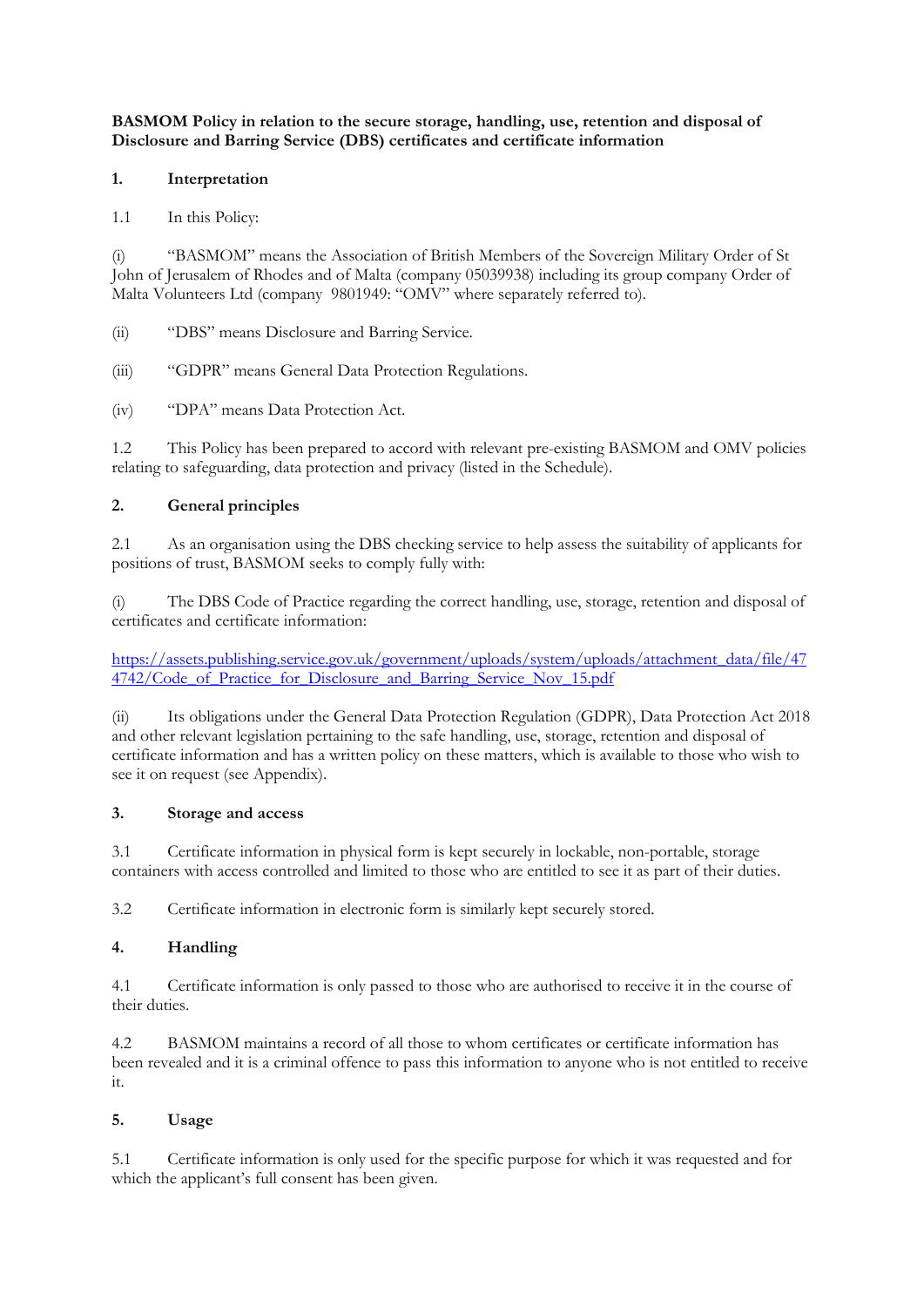**BASMOM Policy in relation to the secure storage, handling, use, retention and disposal of Disclosure and Barring Service (DBS) certificates and certificate information**

## **1. Interpretation**

1.1 In this Policy:

(i) "BASMOM" means the Association of British Members of the Sovereign Military Order of St John of Jerusalem of Rhodes and of Malta (company 05039938) including its group company Order of Malta Volunteers Ltd (company 9801949: "OMV" where separately referred to).

(ii) "DBS" means Disclosure and Barring Service.

(iii) "GDPR" means General Data Protection Regulations.

(iv) "DPA" means Data Protection Act.

1.2 This Policy has been prepared to accord with relevant pre-existing BASMOM and OMV policies relating to safeguarding, data protection and privacy (listed in the Schedule).

## **2. General principles**

2.1 As an organisation using the DBS checking service to help assess the suitability of applicants for positions of trust, BASMOM seeks to comply fully with:

(i) The DBS Code of Practice regarding the correct handling, use, storage, retention and disposal of certificates and certificate information:

[https://assets.publishing.service.gov.uk/government/uploads/system/uploads/attachment\\_data/file/47](https://assets.publishing.service.gov.uk/government/uploads/system/uploads/attachment_data/file/474742/Code_of_Practice_for_Disclosure_and_Barring_Service_Nov_15.pdf) 4742/Code of Practice for Disclosure and Barring Service Nov 15.pdf

(ii) Its obligations under the General Data Protection Regulation (GDPR), Data Protection Act 2018 and other relevant legislation pertaining to the safe handling, use, storage, retention and disposal of certificate information and has a written policy on these matters, which is available to those who wish to see it on request (see Appendix).

#### **3. Storage and access**

3.1 Certificate information in physical form is kept securely in lockable, non-portable, storage containers with access controlled and limited to those who are entitled to see it as part of their duties.

3.2 Certificate information in electronic form is similarly kept securely stored.

# **4. Handling**

4.1 Certificate information is only passed to those who are authorised to receive it in the course of their duties.

4.2 BASMOM maintains a record of all those to whom certificates or certificate information has been revealed and it is a criminal offence to pass this information to anyone who is not entitled to receive it.

#### **5. Usage**

5.1 Certificate information is only used for the specific purpose for which it was requested and for which the applicant's full consent has been given.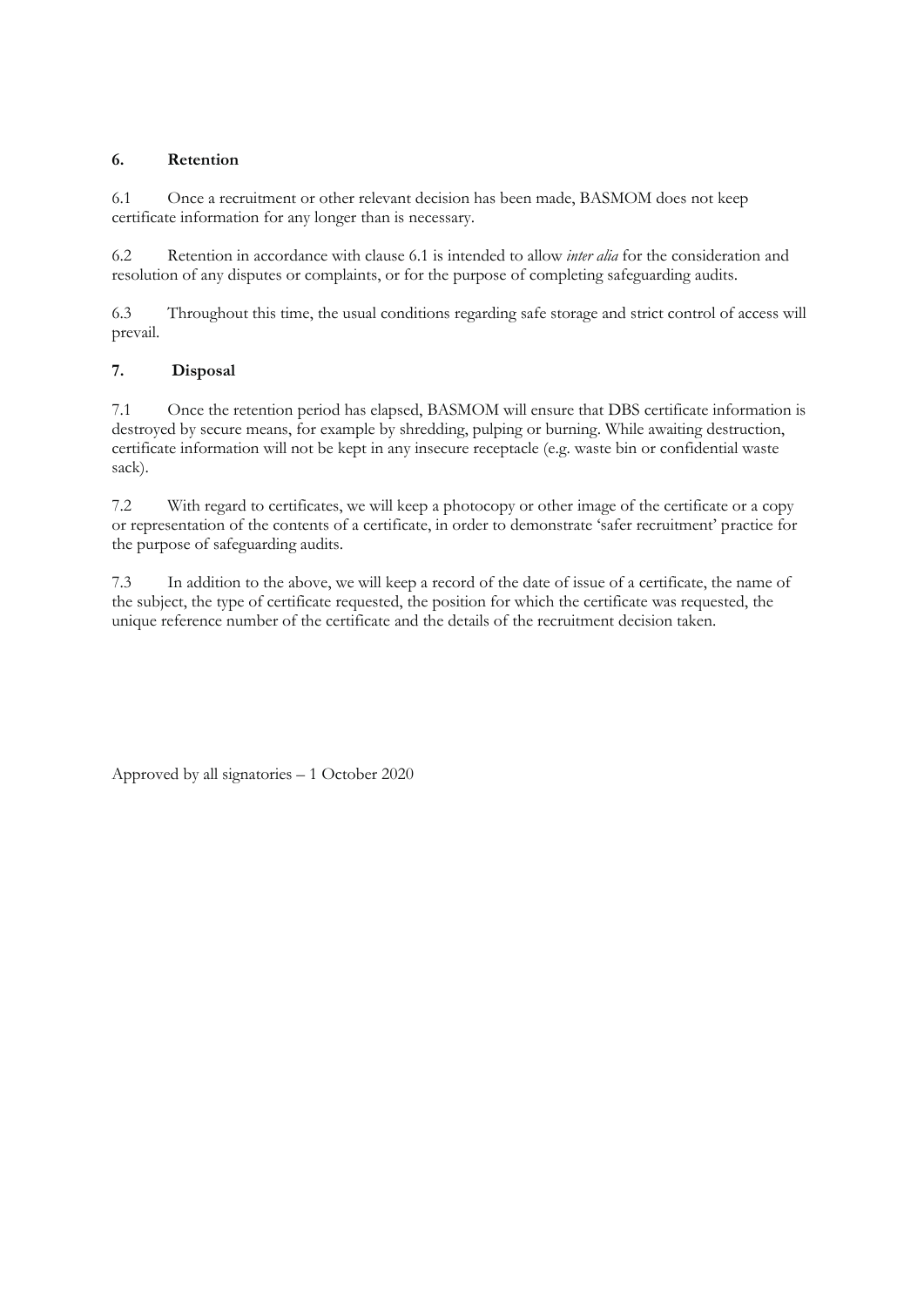## **6. Retention**

6.1 Once a recruitment or other relevant decision has been made, BASMOM does not keep certificate information for any longer than is necessary.

6.2 Retention in accordance with clause 6.1 is intended to allow *inter alia* for the consideration and resolution of any disputes or complaints, or for the purpose of completing safeguarding audits.

6.3 Throughout this time, the usual conditions regarding safe storage and strict control of access will prevail.

## **7. Disposal**

7.1 Once the retention period has elapsed, BASMOM will ensure that DBS certificate information is destroyed by secure means, for example by shredding, pulping or burning. While awaiting destruction, certificate information will not be kept in any insecure receptacle (e.g. waste bin or confidential waste sack).

7.2 With regard to certificates, we will keep a photocopy or other image of the certificate or a copy or representation of the contents of a certificate, in order to demonstrate 'safer recruitment' practice for the purpose of safeguarding audits.

7.3 In addition to the above, we will keep a record of the date of issue of a certificate, the name of the subject, the type of certificate requested, the position for which the certificate was requested, the unique reference number of the certificate and the details of the recruitment decision taken.

Approved by all signatories – 1 October 2020